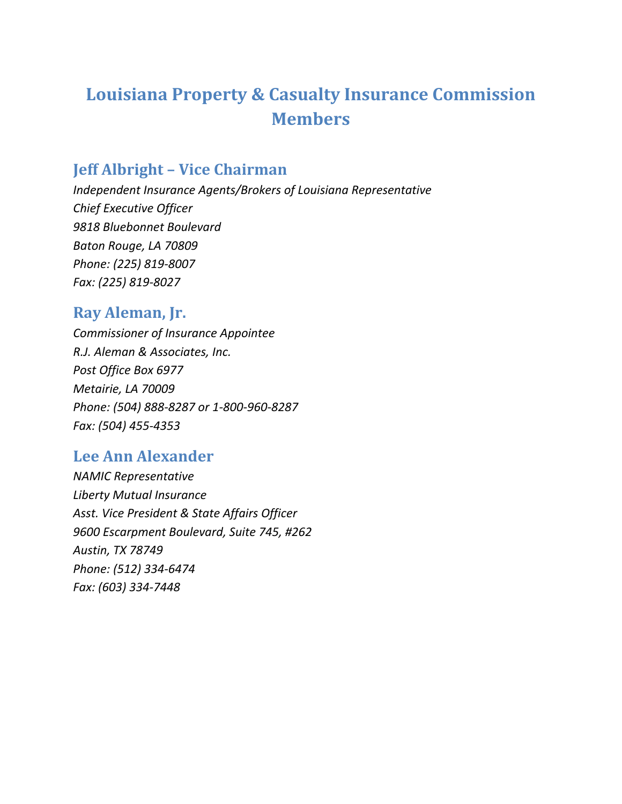# **Louisiana Property & Casualty Insurance Commission Members**

## **Jeff Albright – Vice Chairman**

*Independent Insurance Agents/Brokers of Louisiana Representative Chief Executive Officer 9818 Bluebonnet Boulevard Baton Rouge, LA 70809 Phone: (225) 819‐8007 Fax: (225) 819‐8027*

## **Ray Aleman, Jr.**

*Commissioner of Insurance Appointee R.J. Aleman & Associates, Inc. Post Office Box 6977 Metairie, LA 70009 Phone: (504) 888‐8287 or 1‐800‐960‐8287 Fax: (504) 455‐4353*

# **Lee Ann Alexander**

*NAMIC Representative Liberty Mutual Insurance Asst. Vice President & State Affairs Officer 9600 Escarpment Boulevard, Suite 745, #262 Austin, TX 78749 Phone: (512) 334‐6474 Fax: (603) 334‐7448*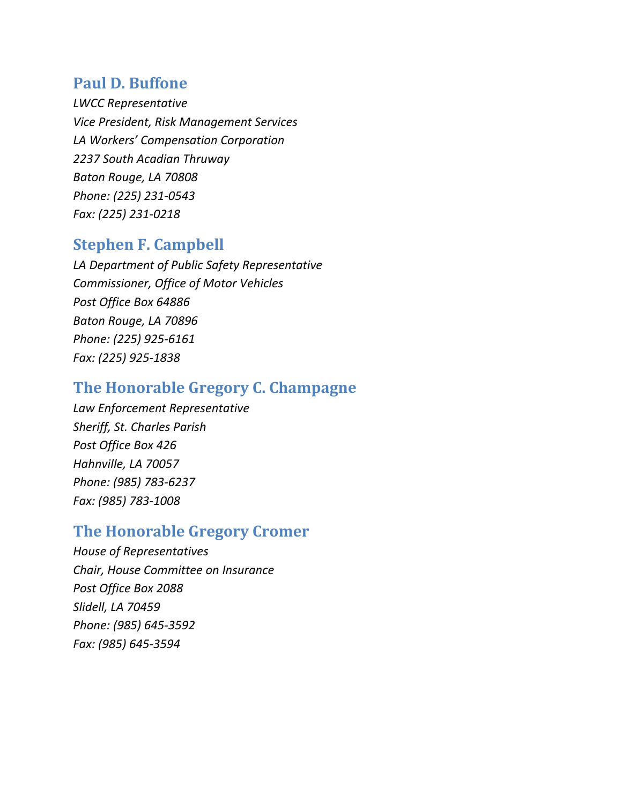#### **Paul D. Buffone**

*LWCC Representative Vice President, Risk Management Services LA Workers' Compensation Corporation 2237 South Acadian Thruway Baton Rouge, LA 70808 Phone: (225) 231‐0543 Fax: (225) 231‐0218*

#### **Stephen F. Campbell**

*LA Department of Public Safety Representative Commissioner, Office of Motor Vehicles Post Office Box 64886 Baton Rouge, LA 70896 Phone: (225) 925‐6161 Fax: (225) 925‐1838*

#### **The Honorable Gregory C. Champagne**

*Law Enforcement Representative Sheriff, St. Charles Parish Post Office Box 426 Hahnville, LA 70057 Phone: (985) 783‐6237 Fax: (985) 783‐1008*

#### **The Honorable Gregory Cromer**

*House of Representatives Chair, House Committee on Insurance Post Office Box 2088 Slidell, LA 70459 Phone: (985) 645‐3592 Fax: (985) 645‐3594*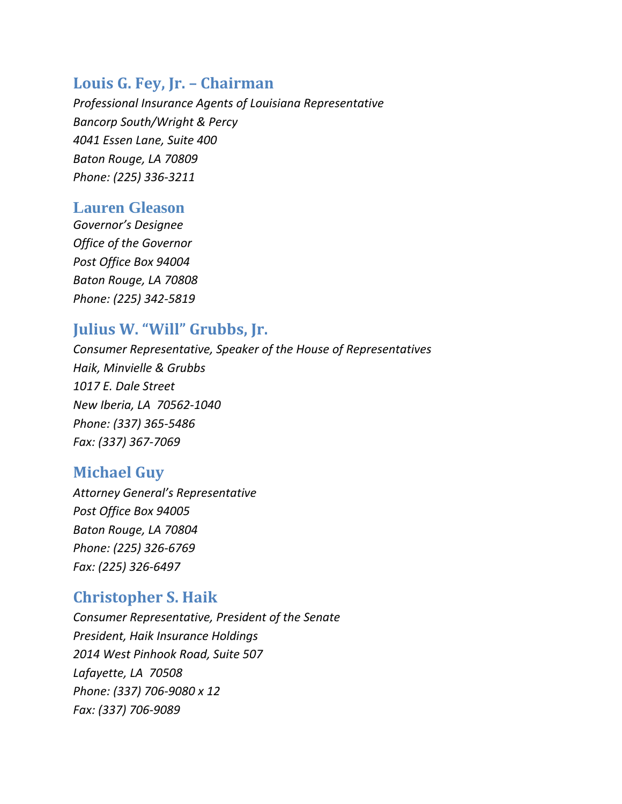## **Louis G. Fey, Jr. – Chairman**

*Professional Insurance Agents of Louisiana Representative Bancorp South/Wright & Percy 4041 Essen Lane, Suite 400 Baton Rouge, LA 70809 Phone: (225) 336‐3211*

#### **Lauren Gleason**

*Governor's Designee Office of the Governor Post Office Box 94004 Baton Rouge, LA 70808 Phone: (225) 342‐5819*

## **Julius W. "Will" Grubbs, Jr.**

*Consumer Representative, Speaker of the House of Representatives Haik, Minvielle & Grubbs 1017 E. Dale Street New Iberia, LA 70562‐1040 Phone: (337) 365‐5486 Fax: (337) 367‐7069*

# **Michael Guy**

*Attorney General's Representative Post Office Box 94005 Baton Rouge, LA 70804 Phone: (225) 326‐6769 Fax: (225) 326‐6497*

# **Christopher S. Haik**

*Consumer Representative, President of the Senate President, Haik Insurance Holdings 2014 West Pinhook Road, Suite 507 Lafayette, LA 70508 Phone: (337) 706‐9080 x 12 Fax: (337) 706‐9089*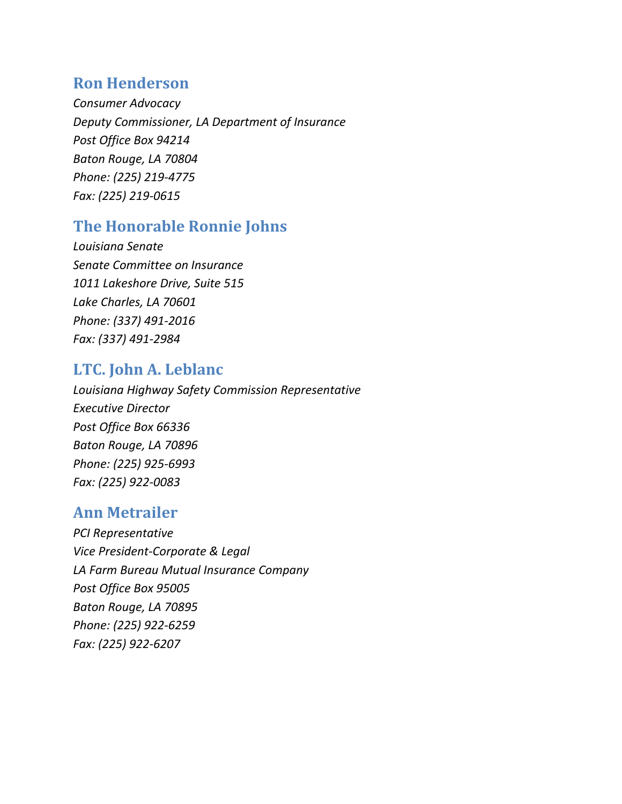## **Ron Henderson**

*Consumer Advocacy Deputy Commissioner, LA Department of Insurance Post Office Box 94214 Baton Rouge, LA 70804 Phone: (225) 219‐4775 Fax: (225) 219‐0615*

# **The Honorable Ronnie Johns**

*Louisiana Senate Senate Committee on Insurance 1011 Lakeshore Drive, Suite 515 Lake Charles, LA 70601 Phone: (337) 491‐2016 Fax: (337) 491‐2984*

# **LTC. John A. Leblanc**

*Louisiana Highway Safety Commission Representative Executive Director Post Office Box 66336 Baton Rouge, LA 70896 Phone: (225) 925‐6993 Fax: (225) 922‐0083*

# **Ann Metrailer**

*PCI Representative Vice President‐Corporate & Legal LA Farm Bureau Mutual Insurance Company Post Office Box 95005 Baton Rouge, LA 70895 Phone: (225) 922‐6259 Fax: (225) 922‐6207*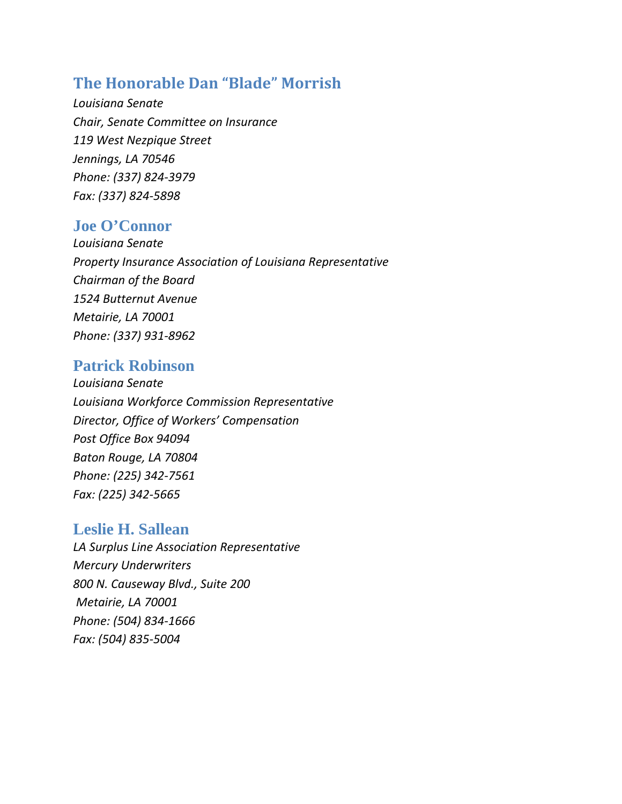# **The Honorable Dan "Blade" Morrish**

*Louisiana Senate Chair, Senate Committee on Insurance 119 West Nezpique Street Jennings, LA 70546 Phone: (337) 824‐3979 Fax: (337) 824‐5898*

#### **Joe O'Connor**

*Louisiana Senate Property Insurance Association of Louisiana Representative Chairman of the Board 1524 Butternut Avenue Metairie, LA 70001 Phone: (337) 931‐8962*

#### **Patrick Robinson**

*Louisiana Senate Louisiana Workforce Commission Representative Director, Office of Workers' Compensation Post Office Box 94094 Baton Rouge, LA 70804 Phone: (225) 342‐7561 Fax: (225) 342‐5665*

#### **Leslie H. Sallean**

*LA Surplus Line Association Representative Mercury Underwriters 800 N. Causeway Blvd., Suite 200 Metairie, LA 70001 Phone: (504) 834‐1666 Fax: (504) 835‐5004*